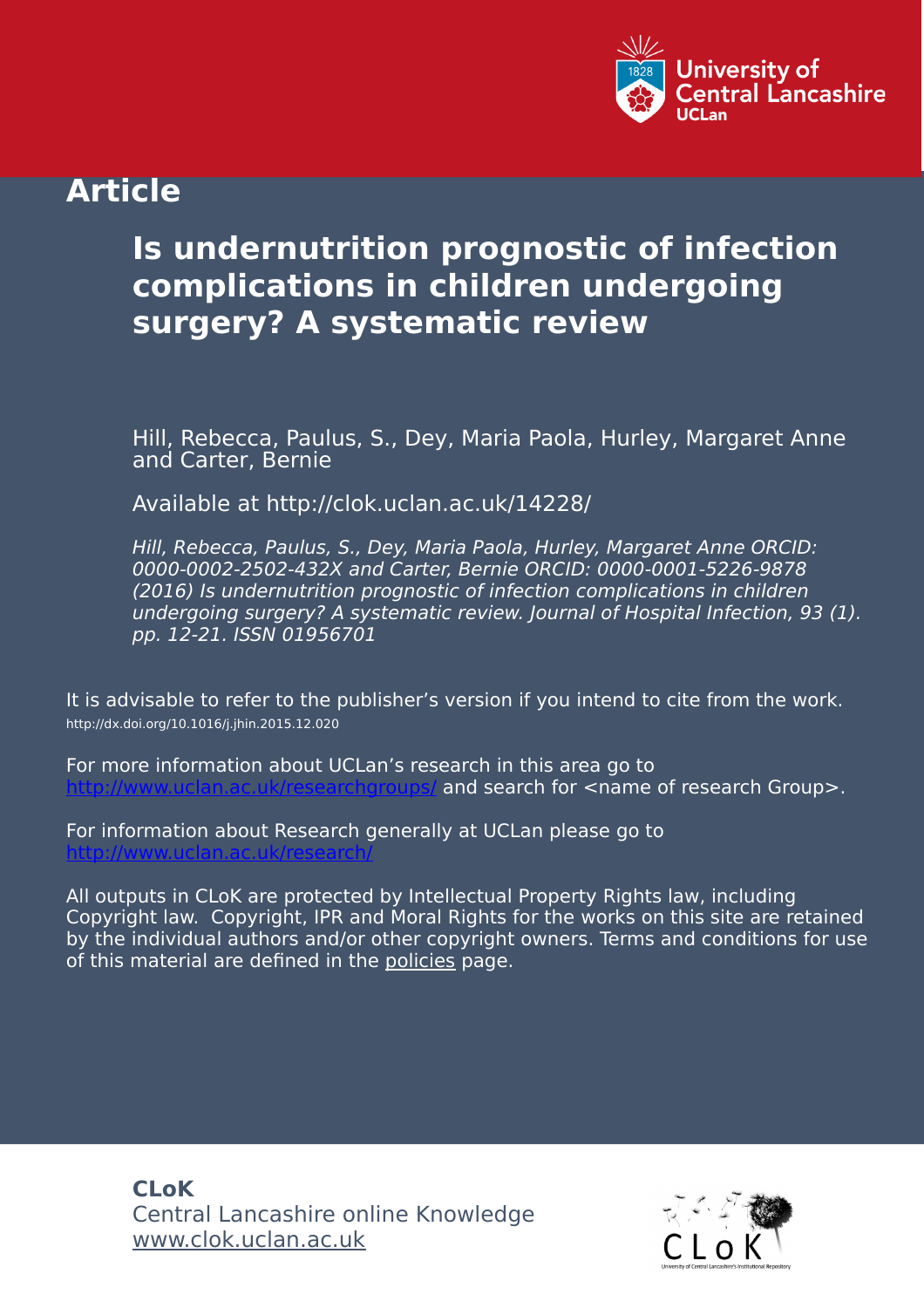

# **Article**

# **Is undernutrition prognostic of infection complications in children undergoing surgery? A systematic review**

Hill, Rebecca, Paulus, S., Dey, Maria Paola, Hurley, Margaret Anne and Carter, Bernie

Available at http://clok.uclan.ac.uk/14228/

Hill, Rebecca, Paulus, S., Dey, Maria Paola, Hurley, Margaret Anne ORCID: 0000-0002-2502-432X and Carter, Bernie ORCID: 0000-0001-5226-9878 (2016) Is undernutrition prognostic of infection complications in children undergoing surgery? A systematic review. Journal of Hospital Infection, 93 (1). pp. 12-21. ISSN 01956701

It is advisable to refer to the publisher's version if you intend to cite from the work. http://dx.doi.org/10.1016/j.jhin.2015.12.020

For more information about UCLan's research in this area go to and search for <name of research Group>.

For information about Research generally at UCLan please go to <http://www.uclan.ac.uk/research/>

All outputs in CLoK are protected by Intellectual Property Rights law, including Copyright law. Copyright, IPR and Moral Rights for the works on this site are retained by the individual authors and/or other copyright owners. Terms and conditions for use of this material are defined in the [policies](https://clok.uclan.ac.uk/policies.html) page.

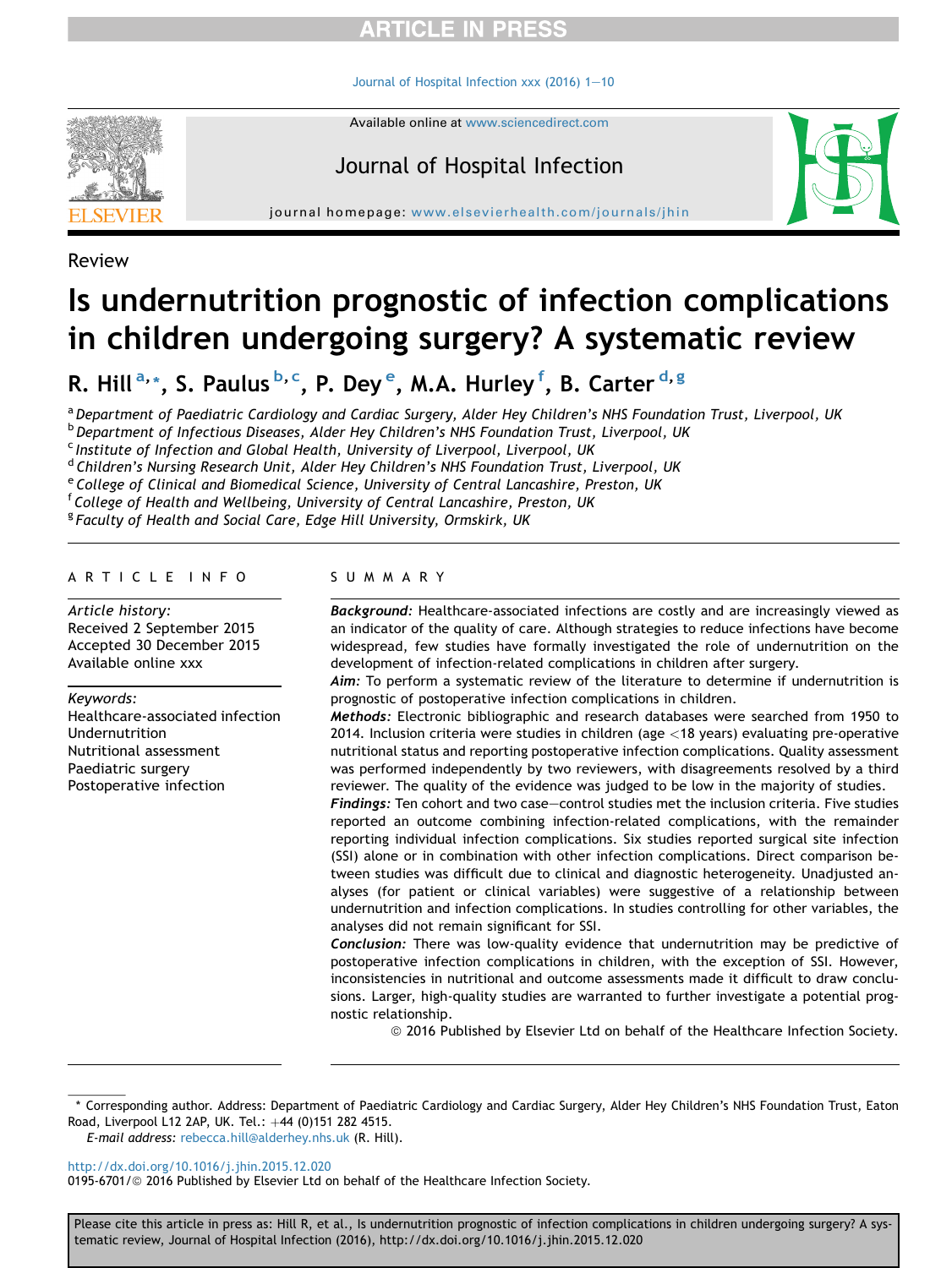### **RTICLE IN PRESS**

[Journal of Hospital Infection xxx \(2016\) 1](http://dx.doi.org/10.1016/j.jhin.2015.12.020)-[10](http://dx.doi.org/10.1016/j.jhin.2015.12.020)

Available online at [www.sciencedirect.com](www.sciencedirect.com/science/journal/01956701)



Journal of Hospital Infection

journal homepage: [www.elsevierhealth.com/journals/jhin](http://www.elsevierhealth.com/journals/jhin)



Review

## Is undernutrition prognostic of infection complications in children undergoing surgery? A systematic review

R. Hill<sup>a,</sup>\*, S. Paulus<sup>b,c</sup>, P. Dey<sup>e</sup>, M.A. Hurley<sup>f</sup>, B. Carter<sup>d,g</sup>

a Department of Paediatric Cardiology and Cardiac Surgery, Alder Hey Children's NHS Foundation Trust, Liverpool, UK

**b Department of Infectious Diseases, Alder Hey Children's NHS Foundation Trust, Liverpool, UK** 

<sup>c</sup> Institute of Infection and Global Health, University of Liverpool, Liverpool, UK

<sup>d</sup> Children's Nursing Research Unit, Alder Hey Children's NHS Foundation Trust, Liverpool, UK

<sup>e</sup> College of Clinical and Biomedical Science, University of Central Lancashire, Preston, UK

<sup>f</sup> College of Health and Wellbeing, University of Central Lancashire, Preston, UK

<sup>g</sup> Faculty of Health and Social Care, Edge Hill University, Ormskirk, UK

#### ARTICLE INFO

Article history: Received 2 September 2015 Accepted 30 December 2015 Available online xxx

#### Keywords:

Healthcare-associated infection Undernutrition Nutritional assessment Paediatric surgery Postoperative infection

#### SUMMARY

Background: Healthcare-associated infections are costly and are increasingly viewed as an indicator of the quality of care. Although strategies to reduce infections have become widespread, few studies have formally investigated the role of undernutrition on the development of infection-related complications in children after surgery.

Aim: To perform a systematic review of the literature to determine if undernutrition is prognostic of postoperative infection complications in children.

Methods: Electronic bibliographic and research databases were searched from 1950 to 2014. Inclusion criteria were studies in children (age <18 years) evaluating pre-operative nutritional status and reporting postoperative infection complications. Quality assessment was performed independently by two reviewers, with disagreements resolved by a third reviewer. The quality of the evidence was judged to be low in the majority of studies.

Findings: Ten cohort and two case-control studies met the inclusion criteria. Five studies reported an outcome combining infection-related complications, with the remainder reporting individual infection complications. Six studies reported surgical site infection (SSI) alone or in combination with other infection complications. Direct comparison between studies was difficult due to clinical and diagnostic heterogeneity. Unadjusted analyses (for patient or clinical variables) were suggestive of a relationship between undernutrition and infection complications. In studies controlling for other variables, the analyses did not remain significant for SSI.

Conclusion: There was low-quality evidence that undernutrition may be predictive of postoperative infection complications in children, with the exception of SSI. However, inconsistencies in nutritional and outcome assessments made it difficult to draw conclusions. Larger, high-quality studies are warranted to further investigate a potential prognostic relationship.

ª 2016 Published by Elsevier Ltd on behalf of the Healthcare Infection Society.

E-mail address: [rebecca.hill@alderhey.nhs.uk](mailto:rebecca.hill@alderhey.nhs.uk) (R. Hill).

<http://dx.doi.org/10.1016/j.jhin.2015.12.020>

0195-6701/@ 2016 Published by Elsevier Ltd on behalf of the Healthcare Infection Society.

<sup>\*</sup> Corresponding author. Address: Department of Paediatric Cardiology and Cardiac Surgery, Alder Hey Children's NHS Foundation Trust, Eaton Road, Liverpool L12 2AP, UK. Tel.: +44 (0)151 282 4515.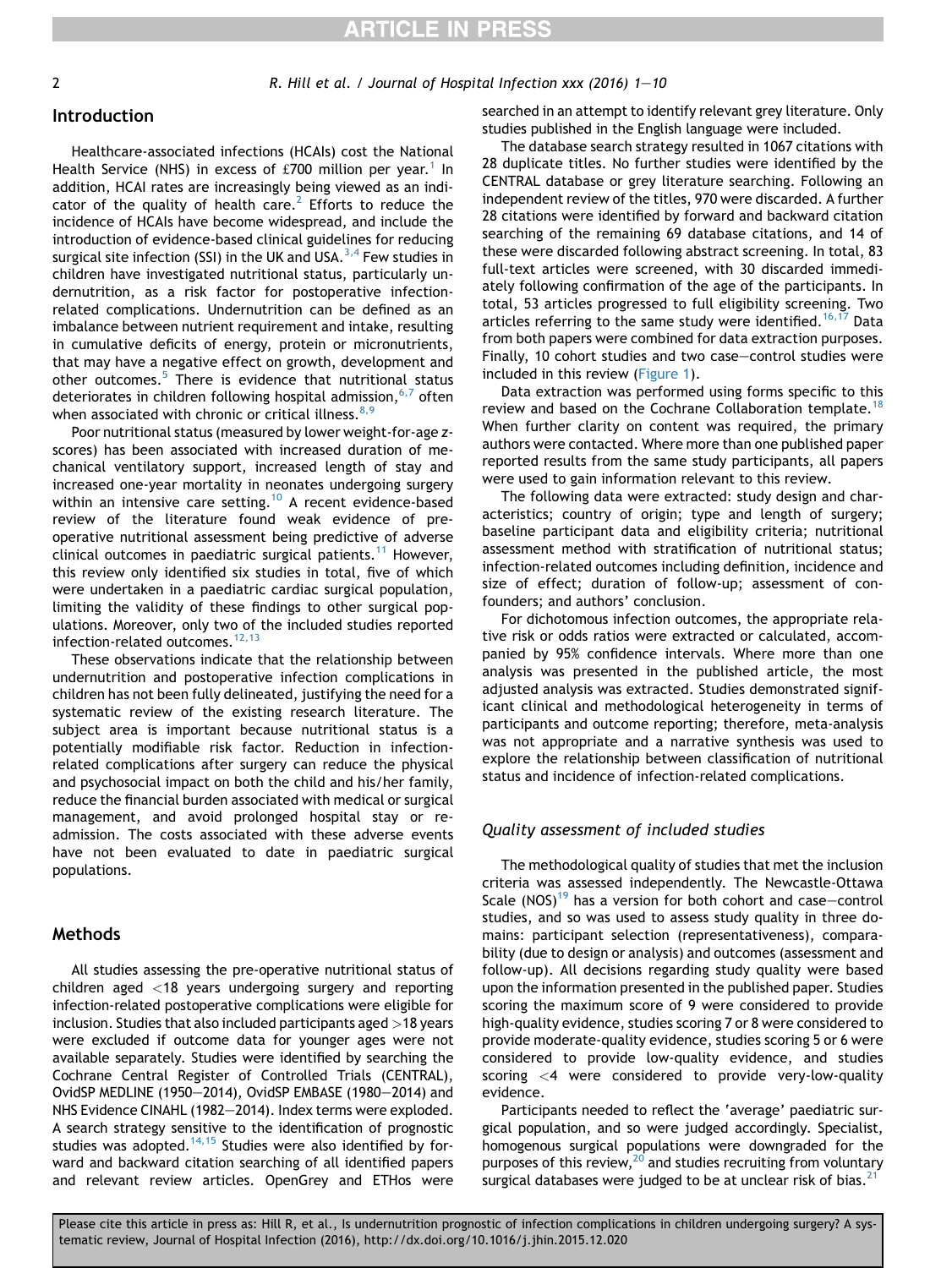2 R. Hill et al. / Journal of Hospital Infection xxx (2016) 1–10

### Introduction

Healthcare-associated infections (HCAIs) cost the National Health Service (NHS) in excess of £700 million per year.<sup>[1](#page-9-0)</sup> In addition, HCAI rates are increasingly being viewed as an indi-cator of the quality of health care.<sup>[2](#page-9-0)</sup> Efforts to reduce the incidence of HCAIs have become widespread, and include the introduction of evidence-based clinical guidelines for reducing surgical site infection (SSI) in the UK and USA.<sup>3,4</sup> Few studies in children have investigated nutritional status, particularly undernutrition, as a risk factor for postoperative infectionrelated complications. Undernutrition can be defined as an imbalance between nutrient requirement and intake, resulting in cumulative deficits of energy, protein or micronutrients, that may have a negative effect on growth, development and other outcomes.<sup>[5](#page-9-0)</sup> There is evidence that nutritional status deteriorates in children following hospital admission,  $6,7$  often when associated with chronic or critical illness.  $8,9$ 

Poor nutritional status (measured by lower weight-for-age zscores) has been associated with increased duration of mechanical ventilatory support, increased length of stay and increased one-year mortality in neonates undergoing surgery within an intensive care setting.<sup>[10](#page-9-0)</sup> A recent evidence-based review of the literature found weak evidence of preoperative nutritional assessment being predictive of adverse clinical outcomes in paediatric surgical patients.<sup>[11](#page-9-0)</sup> However, this review only identified six studies in total, five of which were undertaken in a paediatric cardiac surgical population, limiting the validity of these findings to other surgical populations. Moreover, only two of the included studies reported infection-related outcomes. $^{12,13}$  $^{12,13}$  $^{12,13}$ 

These observations indicate that the relationship between undernutrition and postoperative infection complications in children has not been fully delineated, justifying the need for a systematic review of the existing research literature. The subject area is important because nutritional status is a potentially modifiable risk factor. Reduction in infectionrelated complications after surgery can reduce the physical and psychosocial impact on both the child and his/her family, reduce the financial burden associated with medical or surgical management, and avoid prolonged hospital stay or readmission. The costs associated with these adverse events have not been evaluated to date in paediatric surgical populations.

#### **Methods**

All studies assessing the pre-operative nutritional status of children aged <18 years undergoing surgery and reporting infection-related postoperative complications were eligible for inclusion. Studies that also included participants aged >18 years were excluded if outcome data for younger ages were not available separately. Studies were identified by searching the Cochrane Central Register of Controlled Trials (CENTRAL), OvidSP MEDLINE (1950-2014), OvidSP EMBASE (1980-2014) and NHS Evidence CINAHL (1982-2014). Index terms were exploded. A search strategy sensitive to the identification of prognostic studies was adopted.<sup>14,15</sup> Studies were also identified by forward and backward citation searching of all identified papers and relevant review articles. OpenGrey and ETHos were searched in an attempt to identify relevant grey literature. Only studies published in the English language were included.

The database search strategy resulted in 1067 citations with 28 duplicate titles. No further studies were identified by the CENTRAL database or grey literature searching. Following an independent review of the titles, 970 were discarded. A further 28 citations were identified by forward and backward citation searching of the remaining 69 database citations, and 14 of these were discarded following abstract screening. In total, 83 full-text articles were screened, with 30 discarded immediately following confirmation of the age of the participants. In total, 53 articles progressed to full eligibility screening. Two articles referring to the same study were identified.<sup>[16,17](#page-9-0)</sup> Data from both papers were combined for data extraction purposes. Finally, 10 cohort studies and two case-control studies were included in this review ([Figure 1\)](#page-3-0).

Data extraction was performed using forms specific to this review and based on the Cochrane Collaboration template.<sup>[18](#page-10-0)</sup> When further clarity on content was required, the primary authors were contacted. Where more than one published paper reported results from the same study participants, all papers were used to gain information relevant to this review.

The following data were extracted: study design and characteristics; country of origin; type and length of surgery; baseline participant data and eligibility criteria; nutritional assessment method with stratification of nutritional status; infection-related outcomes including definition, incidence and size of effect; duration of follow-up; assessment of confounders; and authors' conclusion.

For dichotomous infection outcomes, the appropriate relative risk or odds ratios were extracted or calculated, accompanied by 95% confidence intervals. Where more than one analysis was presented in the published article, the most adjusted analysis was extracted. Studies demonstrated significant clinical and methodological heterogeneity in terms of participants and outcome reporting; therefore, meta-analysis was not appropriate and a narrative synthesis was used to explore the relationship between classification of nutritional status and incidence of infection-related complications.

#### Quality assessment of included studies

The methodological quality of studies that met the inclusion criteria was assessed independently. The Newcastle-Ottawa Scale (NOS)<sup>[19](#page-10-0)</sup> has a version for both cohort and case-control studies, and so was used to assess study quality in three domains: participant selection (representativeness), comparability (due to design or analysis) and outcomes (assessment and follow-up). All decisions regarding study quality were based upon the information presented in the published paper. Studies scoring the maximum score of 9 were considered to provide high-quality evidence, studies scoring 7 or 8 were considered to provide moderate-quality evidence, studies scoring 5 or 6 were considered to provide low-quality evidence, and studies scoring <4 were considered to provide very-low-quality evidence.

Participants needed to reflect the 'average' paediatric surgical population, and so were judged accordingly. Specialist, homogenous surgical populations were downgraded for the purposes of this review, $^{20}$  and studies recruiting from voluntary surgical databases were judged to be at unclear risk of bias. $^{21}$  $^{21}$  $^{21}$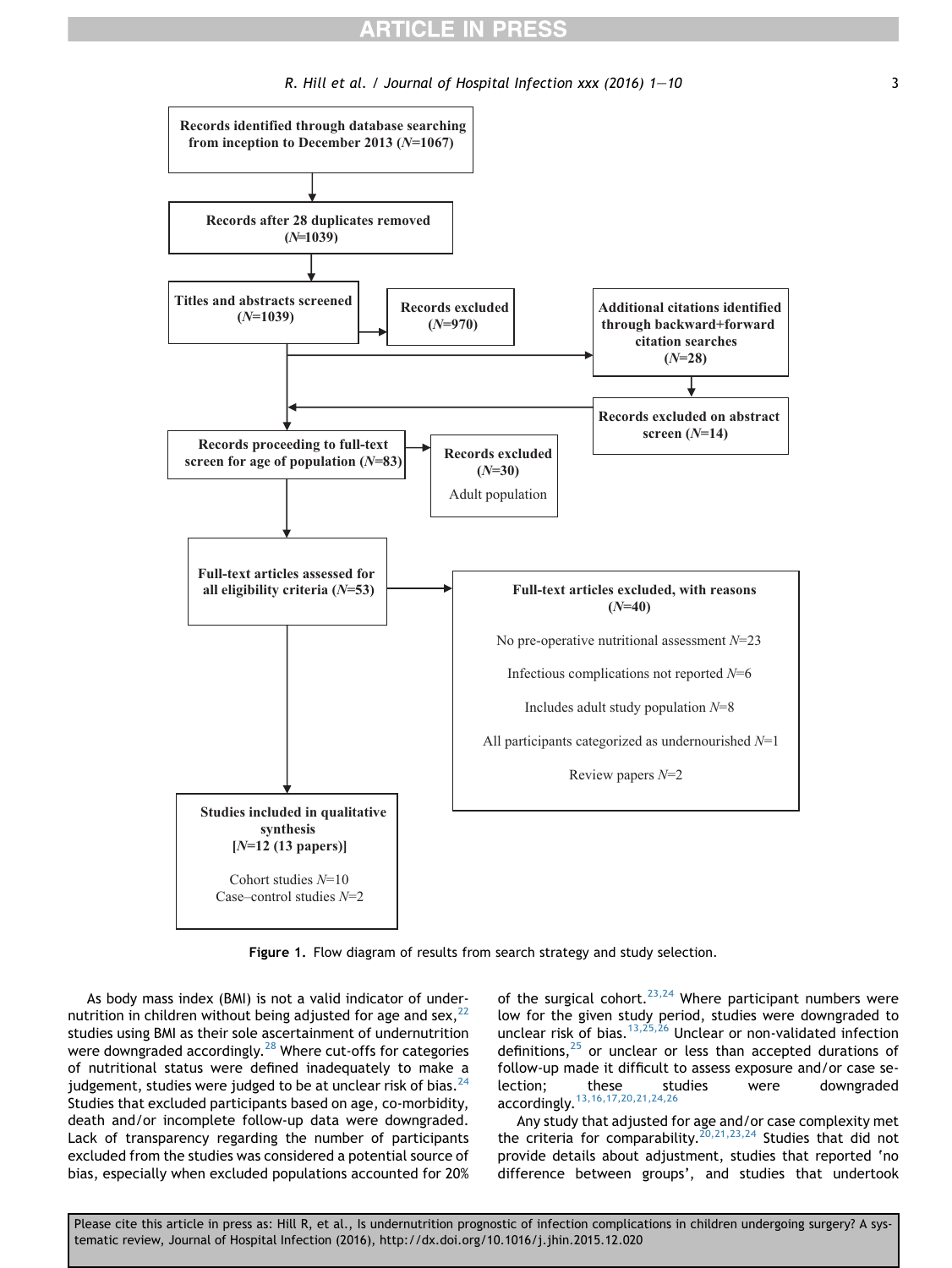### **ARTICLE IN PRESS**

R. Hill et al. / Journal of Hospital Infection  $xxx$  (2016)  $1-10$  3

<span id="page-3-0"></span>

Figure 1. Flow diagram of results from search strategy and study selection.

As body mass index (BMI) is not a valid indicator of undernutrition in children without being adjusted for age and sex, $22$ studies using BMI as their sole ascertainment of undernutrition were downgraded accordingly. $^{28}$  $^{28}$  $^{28}$  Where cut-offs for categories of nutritional status were defined inadequately to make a judgement, studies were judged to be at unclear risk of bias. $^{24}$  $^{24}$  $^{24}$ Studies that excluded participants based on age, co-morbidity, death and/or incomplete follow-up data were downgraded. Lack of transparency regarding the number of participants excluded from the studies was considered a potential source of bias, especially when excluded populations accounted for 20%

of the surgical cohort.<sup>23,24</sup> Where participant numbers were low for the given study period, studies were downgraded to unclear risk of bias.<sup>[13,25,26](#page-9-0)</sup> Unclear or non-validated infection definitions, $25$  or unclear or less than accepted durations of follow-up made it difficult to assess exposure and/or case selection; these studies were downgraded accordingly.<sup>[13,16,17,20,21,24,26](#page-9-0)</sup>

Any study that adjusted for age and/or case complexity met the criteria for comparability.<sup>[20,21,23,24](#page-10-0)</sup> Studies that did not provide details about adjustment, studies that reported 'no difference between groups', and studies that undertook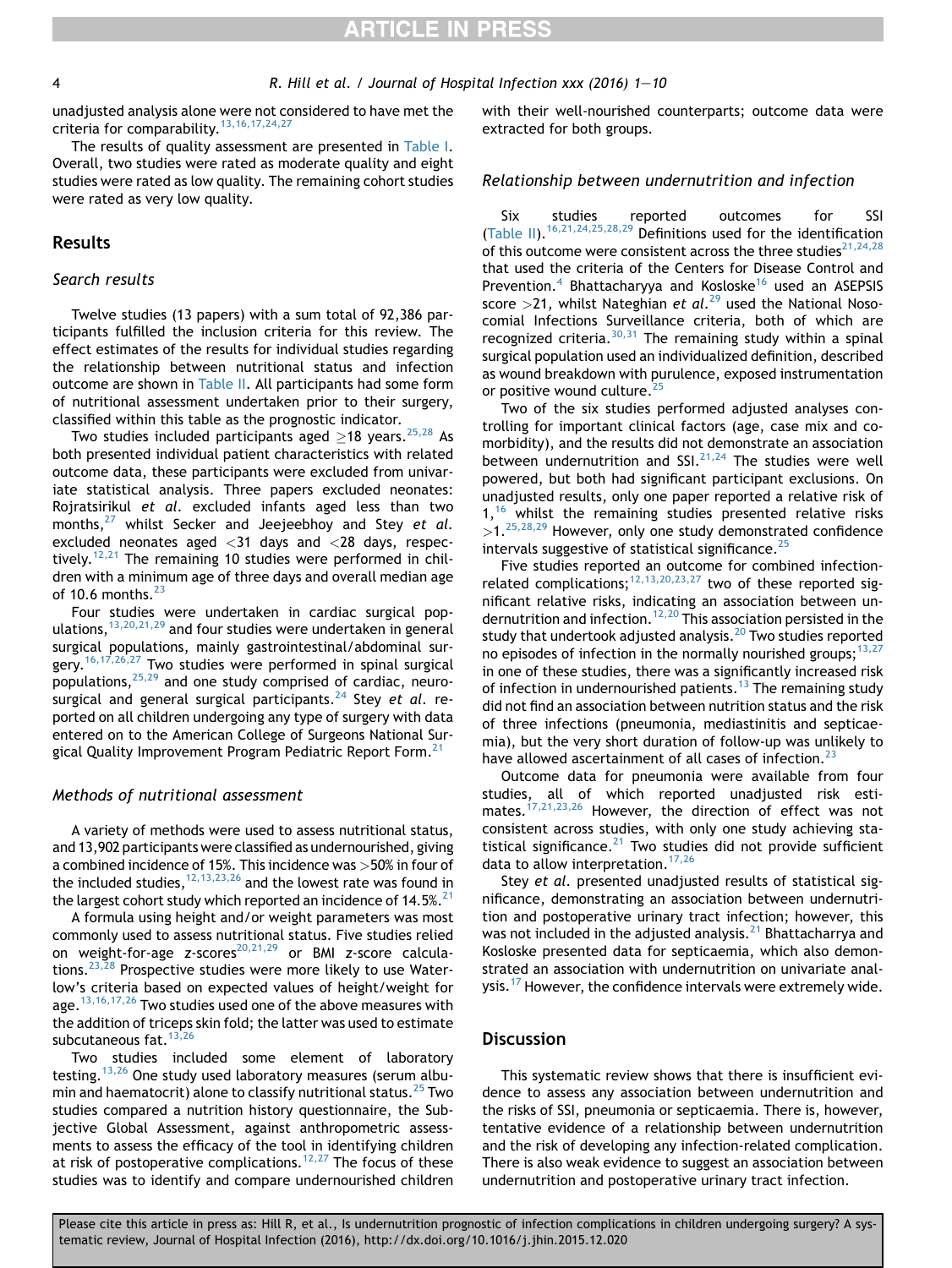unadjusted analysis alone were not considered to have met the criteria for comparability.<sup>[13,16,17,24,27](#page-9-0)</sup>

The results of quality assessment are presented in [Table I.](#page-5-0) Overall, two studies were rated as moderate quality and eight studies were rated as low quality. The remaining cohort studies were rated as very low quality.

#### Results

#### Search results

Twelve studies (13 papers) with a sum total of 92,386 participants fulfilled the inclusion criteria for this review. The effect estimates of the results for individual studies regarding the relationship between nutritional status and infection outcome are shown in [Table II.](#page-6-0) All participants had some form of nutritional assessment undertaken prior to their surgery, classified within this table as the prognostic indicator.

Two studies included participants aged  $\geq$ 18 years.  $^{25,28}$  $^{25,28}$  $^{25,28}$  As both presented individual patient characteristics with related outcome data, these participants were excluded from univariate statistical analysis. Three papers excluded neonates: Rojratsirikul et al. excluded infants aged less than two months, $27$  whilst Secker and Jeejeebhoy and Stey et al. excluded neonates aged <31 days and <28 days, respectively.<sup>12,21</sup> The remaining 10 studies were performed in children with a minimum age of three days and overall median age of 10.6 months. $^{23}$  $^{23}$  $^{23}$ 

Four studies were undertaken in cardiac surgical populations,  $13,20,21,29$  and four studies were undertaken in general surgical populations, mainly gastrointestinal/abdominal sur-gery.<sup>[16,17,26,27](#page-9-0)</sup> Two studies were performed in spinal surgical populations,  $25,29$  and one study comprised of cardiac, neuro-surgical and general surgical participants.<sup>[24](#page-10-0)</sup> Stey et al. reported on all children undergoing any type of surgery with data entered on to the American College of Surgeons National Sur-gical Quality Improvement Program Pediatric Report Form.<sup>[21](#page-10-0)</sup>

#### Methods of nutritional assessment

A variety of methods were used to assess nutritional status, and 13,902 participants were classified as undernourished, giving a combined incidence of 15%. This incidence was >50% in four of the included studies,  $12,13,23,26$  and the lowest rate was found in the largest cohort study which reported an incidence of  $14.5\%$ <sup>21</sup>

A formula using height and/or weight parameters was most commonly used to assess nutritional status. Five studies relied on weight-for-age z-scores<sup>20,21,29</sup> or BMI z-score calcula-tions.<sup>[23,28](#page-10-0)</sup> Prospective studies were more likely to use Waterlow's criteria based on expected values of height/weight for age.<sup>[13,16,17,26](#page-9-0)</sup> Two studies used one of the above measures with the addition of triceps skin fold; the latter was used to estimate subcutaneous fat.  $13,26$ 

Two studies included some element of laboratory testing.<sup>[13,26](#page-9-0)</sup> One study used laboratory measures (serum albu-min and haematocrit) alone to classify nutritional status.<sup>[25](#page-10-0)</sup> Two studies compared a nutrition history questionnaire, the Subjective Global Assessment, against anthropometric assessments to assess the efficacy of the tool in identifying children at risk of postoperative complications.<sup>[12,27](#page-9-0)</sup> The focus of these studies was to identify and compare undernourished children with their well-nourished counterparts; outcome data were extracted for both groups.

#### Relationship between undernutrition and infection

Six studies reported outcomes for SSI [\(Table II\)](#page-6-0).<sup>16,21,24,25,28,29</sup> Definitions used for the identification of this outcome were consistent across the three studies<sup>[21,24,28](#page-10-0)</sup> that used the criteria of the Centers for Disease Control and Prevention.<sup>[4](#page-9-0)</sup> Bhattacharyya and Kosloske<sup>[16](#page-9-0)</sup> used an ASEPSIS score >21, whilst Nateghian et  $al.^{29}$  $al.^{29}$  $al.^{29}$  used the National Nosocomial Infections Surveillance criteria, both of which are recognized criteria.<sup>[30,31](#page-10-0)</sup> The remaining study within a spinal surgical population used an individualized definition, described as wound breakdown with purulence, exposed instrumentation or positive wound culture.<sup>[25](#page-10-0)</sup>

Two of the six studies performed adjusted analyses controlling for important clinical factors (age, case mix and comorbidity), and the results did not demonstrate an association between undernutrition and SSI.  $21,24$  The studies were well powered, but both had significant participant exclusions. On unadjusted results, only one paper reported a relative risk of  $1,16$  $1,16$  whilst the remaining studies presented relative risks  $>1.^{25,28,29}$  $>1.^{25,28,29}$  $>1.^{25,28,29}$  However, only one study demonstrated confidence intervals suggestive of statistical significance. $^{25}$  $^{25}$  $^{25}$ 

Five studies reported an outcome for combined infection-related complications;<sup>[12,13,20,23,27](#page-9-0)</sup> two of these reported significant relative risks, indicating an association between un-dernutrition and infection.<sup>[12,20](#page-9-0)</sup> This association persisted in the study that undertook adjusted analysis. $^{20}$  $^{20}$  $^{20}$  Two studies reported no episodes of infection in the normally nourished groups;  $13,27$ in one of these studies, there was a significantly increased risk of infection in undernourished patients.<sup>[13](#page-9-0)</sup> The remaining study did not find an association between nutrition status and the risk of three infections (pneumonia, mediastinitis and septicaemia), but the very short duration of follow-up was unlikely to have allowed ascertainment of all cases of infection.<sup>[23](#page-10-0)</sup>

Outcome data for pneumonia were available from four studies, all of which reported unadjusted risk estimates.<sup>17,21,23,26</sup> However, the direction of effect was not consistent across studies, with only one study achieving statistical significance. $21$  Two studies did not provide sufficient data to allow interpretation.<sup>[17,26](#page-9-0)</sup>

Stey et al. presented unadjusted results of statistical significance, demonstrating an association between undernutrition and postoperative urinary tract infection; however, this was not included in the adjusted analysis.<sup>[21](#page-10-0)</sup> Bhattacharrya and Kosloske presented data for septicaemia, which also demonstrated an association with undernutrition on univariate analysis.<sup>17</sup> However, the confidence intervals were extremely wide.

#### **Discussion**

This systematic review shows that there is insufficient evidence to assess any association between undernutrition and the risks of SSI, pneumonia or septicaemia. There is, however, tentative evidence of a relationship between undernutrition and the risk of developing any infection-related complication. There is also weak evidence to suggest an association between undernutrition and postoperative urinary tract infection.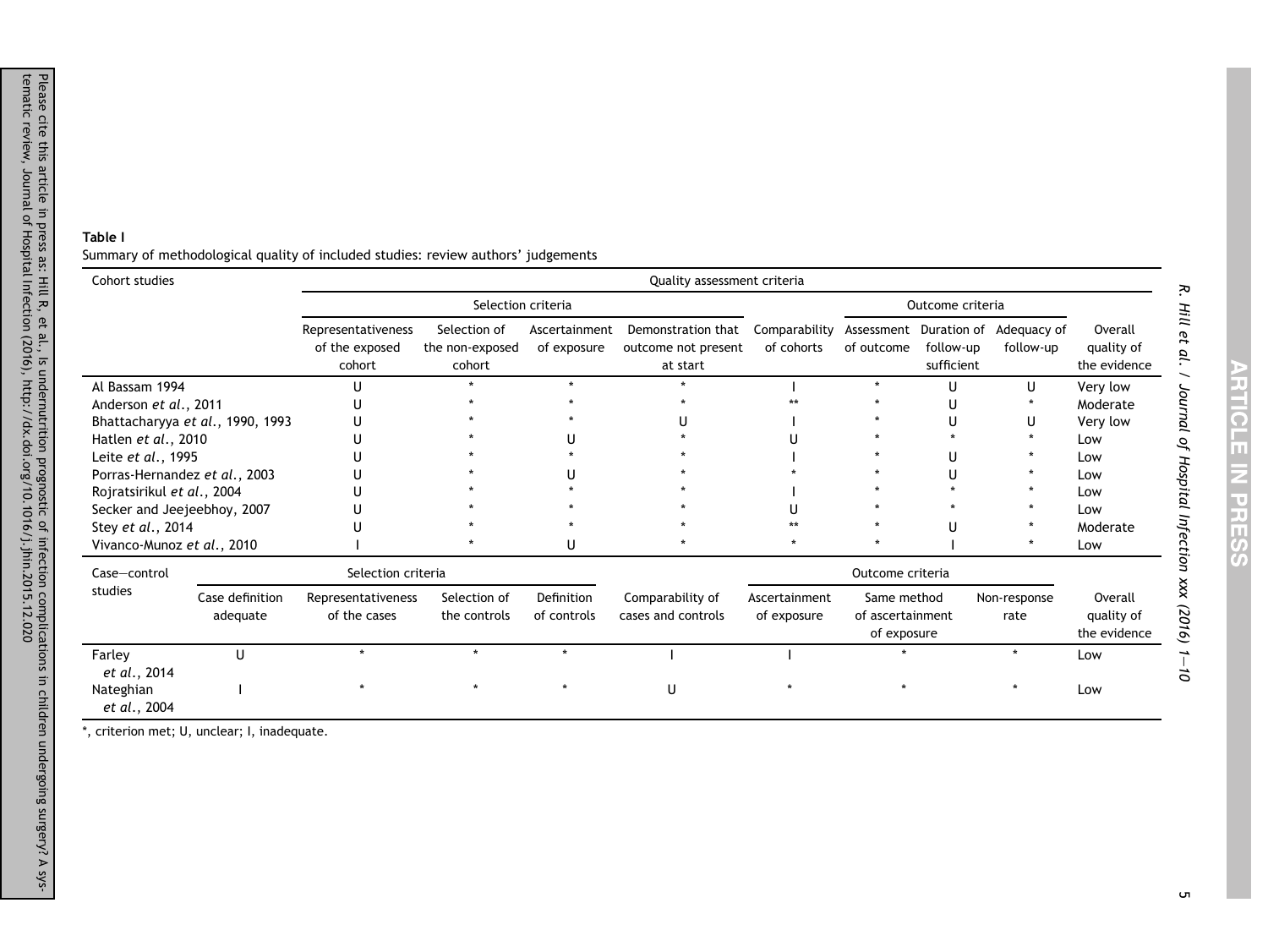#### <span id="page-5-0"></span>Table I

Summary of methodological quality of included studies: review authors' judgements

| Cohort studies                |                                  |                                                |                                           |                              | Quality assessment criteria                           |                              |                                                |                                                   |                          |                                       |
|-------------------------------|----------------------------------|------------------------------------------------|-------------------------------------------|------------------------------|-------------------------------------------------------|------------------------------|------------------------------------------------|---------------------------------------------------|--------------------------|---------------------------------------|
|                               |                                  |                                                | Selection criteria                        |                              |                                                       |                              |                                                | Outcome criteria                                  |                          |                                       |
|                               |                                  | Representativeness<br>of the exposed<br>cohort | Selection of<br>the non-exposed<br>cohort | Ascertainment<br>of exposure | Demonstration that<br>outcome not present<br>at start | Comparability<br>of cohorts  | of outcome                                     | Assessment Duration of<br>follow-up<br>sufficient | Adequacy of<br>follow-up | Overall<br>quality of<br>the evidence |
| Al Bassam 1994                |                                  |                                                |                                           |                              |                                                       |                              |                                                | U                                                 | U                        | Very low                              |
| Anderson et al., 2011         |                                  |                                                |                                           |                              |                                                       |                              |                                                |                                                   |                          | Moderate                              |
|                               | Bhattacharyya et al., 1990, 1993 |                                                |                                           |                              |                                                       |                              |                                                |                                                   |                          | Very low                              |
| Hatlen et al., 2010           |                                  |                                                |                                           |                              |                                                       |                              |                                                |                                                   |                          | Low                                   |
| Leite et al., 1995            |                                  |                                                |                                           |                              |                                                       |                              |                                                |                                                   |                          | Low                                   |
| Porras-Hernandez et al., 2003 |                                  |                                                |                                           |                              |                                                       |                              |                                                |                                                   |                          | Low                                   |
| Rojratsirikul et al., 2004    |                                  |                                                |                                           |                              |                                                       |                              |                                                |                                                   |                          | Low                                   |
| Secker and Jeejeebhoy, 2007   |                                  |                                                |                                           |                              |                                                       |                              |                                                |                                                   |                          | Low                                   |
| Stey et al., 2014             |                                  |                                                |                                           |                              |                                                       |                              |                                                |                                                   |                          | Moderate                              |
| Vivanco-Munoz et al., 2010    |                                  |                                                |                                           | U                            |                                                       |                              |                                                |                                                   |                          | Low                                   |
| Case-control                  |                                  | Selection criteria                             |                                           |                              |                                                       |                              | Outcome criteria                               |                                                   |                          |                                       |
| studies                       | Case definition<br>adequate      | Representativeness<br>of the cases             | Selection of<br>the controls              | Definition<br>of controls    | Comparability of<br>cases and controls                | Ascertainment<br>of exposure | Same method<br>of ascertainment<br>of exposure |                                                   | Non-response<br>rate     | Overall<br>quality of<br>the evidence |
| Farley<br>et al., 2014        | U                                |                                                |                                           | $\star$                      |                                                       |                              |                                                |                                                   |                          | Low                                   |
| Nateghian<br>et al., 2004     |                                  |                                                |                                           |                              | U                                                     |                              |                                                |                                                   |                          | Low                                   |

\*, criterion met; U, unclear; I, inadequate.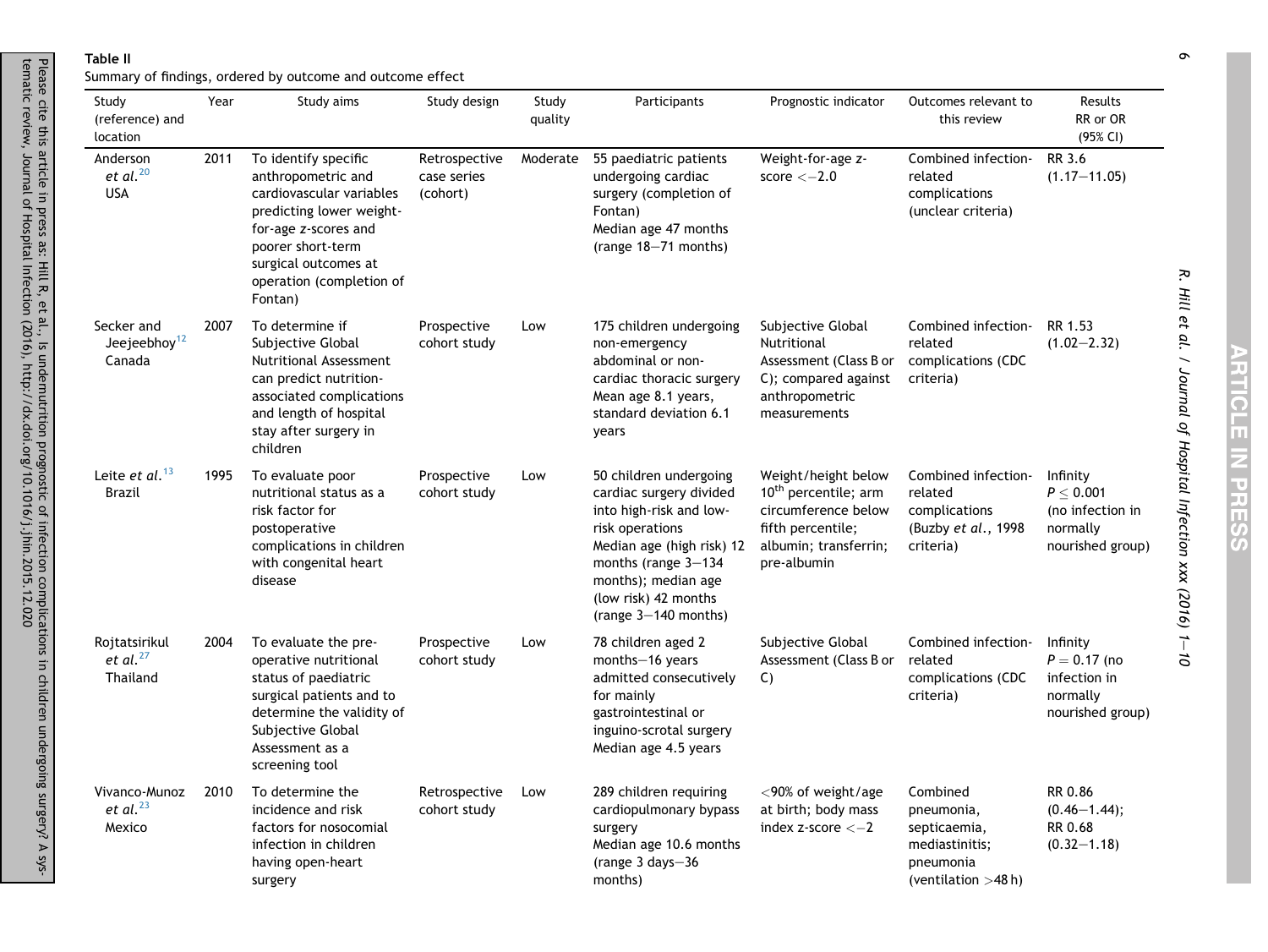#### Table II

tematic review, Journal of Hospital Infection (2016), http://dx.doi.org/10.1016/j.jhin.2015.12.020

Please cite this article in press as: Hill R, et al., Is undernutrition prognostic of infection complications in children undergoing surgery? A sys-

<span id="page-6-0"></span>Please cite this article in press as: Hill R, et al., Is undernutrition prognostic of infection complications in children undergoing surgery? A sys-<br>tematic review, Journal of Hospital Infection (2016), http://dx.doi.org/1

Summary of findings, ordered by outcome and outcome effect

| Study<br>(reference) and<br>location             | Year | Study aims                                                                                                                                                                                                     | Study design                             | Study<br>quality | Participants                                                                                                                                                                                                                   | Prognostic indicator                                                                                                                        | Outcomes relevant to<br>this review                                                            | Results<br>RR or OR<br>(95% CI)                                                |
|--------------------------------------------------|------|----------------------------------------------------------------------------------------------------------------------------------------------------------------------------------------------------------------|------------------------------------------|------------------|--------------------------------------------------------------------------------------------------------------------------------------------------------------------------------------------------------------------------------|---------------------------------------------------------------------------------------------------------------------------------------------|------------------------------------------------------------------------------------------------|--------------------------------------------------------------------------------|
| Anderson<br>et al. $^{20}$<br><b>USA</b>         | 2011 | To identify specific<br>anthropometric and<br>cardiovascular variables<br>predicting lower weight-<br>for-age z-scores and<br>poorer short-term<br>surgical outcomes at<br>operation (completion of<br>Fontan) | Retrospective<br>case series<br>(cohort) | Moderate         | 55 paediatric patients<br>undergoing cardiac<br>surgery (completion of<br>Fontan)<br>Median age 47 months<br>(range 18-71 months)                                                                                              | Weight-for-age z-<br>score $<-2.0$                                                                                                          | Combined infection-<br>related<br>complications<br>(unclear criteria)                          | RR 3.6<br>$(1.17 - 11.05)$                                                     |
| Secker and<br>Jeejeebhoy <sup>12</sup><br>Canada | 2007 | To determine if<br>Subjective Global<br><b>Nutritional Assessment</b><br>can predict nutrition-<br>associated complications<br>and length of hospital<br>stay after surgery in<br>children                     | Prospective<br>cohort study              | Low              | 175 children undergoing<br>non-emergency<br>abdominal or non-<br>cardiac thoracic surgery<br>Mean age 8.1 years,<br>standard deviation 6.1<br>years                                                                            | Subjective Global<br>Nutritional<br>Assessment (Class B or<br>C); compared against<br>anthropometric<br>measurements                        | Combined infection-<br>related<br>complications (CDC<br>criteria)                              | RR 1.53<br>$(1.02 - 2.32)$                                                     |
| Leite et $al.^{13}$<br><b>Brazil</b>             | 1995 | To evaluate poor<br>nutritional status as a<br>risk factor for<br>postoperative<br>complications in children<br>with congenital heart<br>disease                                                               | Prospective<br>cohort study              | Low              | 50 children undergoing<br>cardiac surgery divided<br>into high-risk and low-<br>risk operations<br>Median age (high risk) 12<br>months (range $3-134$ )<br>months); median age<br>(low risk) 42 months<br>(range 3-140 months) | Weight/height below<br>10 <sup>th</sup> percentile; arm<br>circumference below<br>fifth percentile;<br>albumin; transferrin;<br>pre-albumin | Combined infection-<br>related<br>complications<br>(Buzby et al., 1998<br>criteria)            | Infinity<br>$P \leq 0.001$<br>(no infection in<br>normally<br>nourished group) |
| Rojtatsirikul<br>et al. $^{27}$<br>Thailand      | 2004 | To evaluate the pre-<br>operative nutritional<br>status of paediatric<br>surgical patients and to<br>determine the validity of<br>Subjective Global<br>Assessment as a<br>screening tool                       | Prospective<br>cohort study              | Low              | 78 children aged 2<br>months-16 years<br>admitted consecutively<br>for mainly<br>gastrointestinal or<br>inguino-scrotal surgery<br>Median age 4.5 years                                                                        | Subjective Global<br>Assessment (Class B or<br>C)                                                                                           | Combined infection-<br>related<br>complications (CDC<br>criteria)                              | Infinity<br>$P = 0.17$ (no<br>infection in<br>normally<br>nourished group)     |
| Vivanco-Munoz<br>et al. $^{23}$<br>Mexico        | 2010 | To determine the<br>incidence and risk<br>factors for nosocomial<br>infection in children<br>having open-heart<br>surgery                                                                                      | Retrospective<br>cohort study            | Low              | 289 children requiring<br>cardiopulmonary bypass<br>surgery<br>Median age 10.6 months<br>(range $3$ days $-36$<br>months)                                                                                                      | $<$ 90% of weight/age<br>at birth; body mass<br>index z-score $<-2$                                                                         | Combined<br>pneumonia,<br>septicaemia,<br>mediastinitis;<br>pneumonia<br>(ventilation $>48$ h) | RR 0.86<br>$(0.46 - 1.44);$<br>RR 0.68<br>$(0.32 - 1.18)$                      |

R. Hill et al. / Journal of Hospital Infection xxx (2016) 1

R. Hill et al. / Journal of Hospital Infection xxx (2016) 1-10

 $\sigma$ e11 - 2010 - 2010 - 2011 - 2011 - 2011 - 2011 - 2011 - 2011 - 2011 - 2012 - 2014 - 2012 - 2014 - 201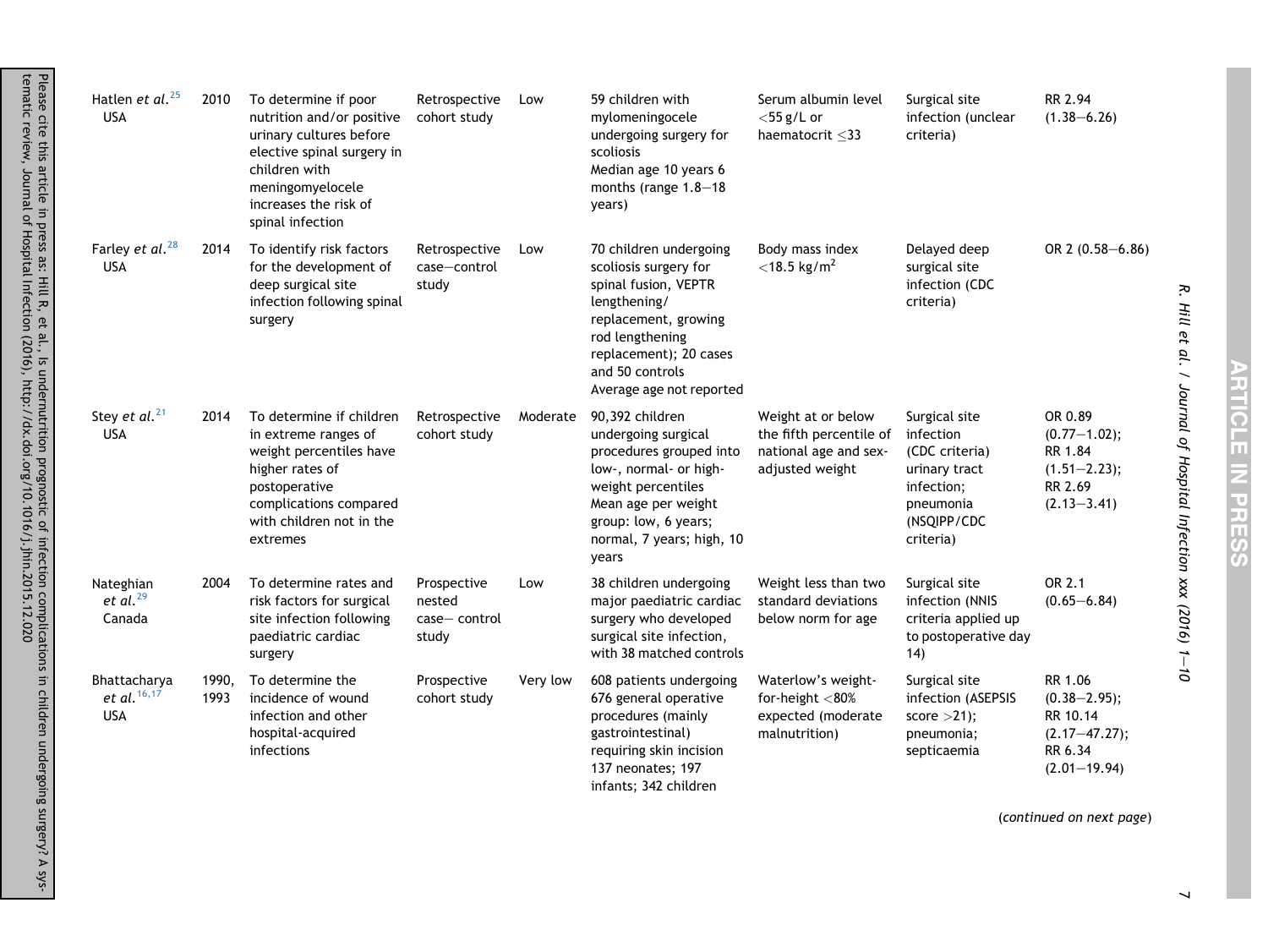| Hatlen et al. <sup>25</sup><br><b>USA</b>     | 2010          | To determine if poor<br>nutrition and/or positive<br>urinary cultures before<br>elective spinal surgery in<br>children with<br>meningomyelocele<br>increases the risk of<br>spinal infection | Retrospective<br>cohort study                  | Low      | 59 children with<br>mylomeningocele<br>undergoing surgery for<br>scoliosis<br>Median age 10 years 6<br>months (range 1.8-18<br>years)                                                                       | Serum albumin level<br>$<$ 55 g/L or<br>haematocrit $\leq$ 33                             | Surgical site<br>infection (unclear<br>criteria)                                                                     | RR 2.94<br>$(1.38 - 6.26)$                                                                  |
|-----------------------------------------------|---------------|----------------------------------------------------------------------------------------------------------------------------------------------------------------------------------------------|------------------------------------------------|----------|-------------------------------------------------------------------------------------------------------------------------------------------------------------------------------------------------------------|-------------------------------------------------------------------------------------------|----------------------------------------------------------------------------------------------------------------------|---------------------------------------------------------------------------------------------|
| Farley et al. <sup>28</sup><br><b>USA</b>     | 2014          | To identify risk factors<br>for the development of<br>deep surgical site<br>infection following spinal<br>surgery                                                                            | Retrospective<br>case-control<br>study         | Low      | 70 children undergoing<br>scoliosis surgery for<br>spinal fusion, VEPTR<br>lengthening/<br>replacement, growing<br>rod lengthening<br>replacement); 20 cases<br>and 50 controls<br>Average age not reported | Body mass index<br>$<$ 18.5 kg/m <sup>2</sup>                                             | Delayed deep<br>surgical site<br>infection (CDC<br>criteria)                                                         | OR 2 (0.58-6.86)                                                                            |
| Stey et al. <sup>21</sup><br><b>USA</b>       | 2014          | To determine if children<br>in extreme ranges of<br>weight percentiles have<br>higher rates of<br>postoperative<br>complications compared<br>with children not in the<br>extremes            | Retrospective<br>cohort study                  | Moderate | 90,392 children<br>undergoing surgical<br>procedures grouped into<br>low-, normal- or high-<br>weight percentiles<br>Mean age per weight<br>group: low, 6 years;<br>normal, 7 years; high, 10<br>years      | Weight at or below<br>the fifth percentile of<br>national age and sex-<br>adjusted weight | Surgical site<br>infection<br>(CDC criteria)<br>urinary tract<br>infection;<br>pneumonia<br>(NSQIPP/CDC<br>criteria) | OR 0.89<br>$(0.77 - 1.02);$<br>RR 1.84<br>$(1.51 - 2.23);$<br>RR 2.69<br>$(2.13 - 3.41)$    |
| Nateghian<br>et al. $^{29}$<br>Canada         | 2004          | To determine rates and<br>risk factors for surgical<br>site infection following<br>paediatric cardiac<br>surgery                                                                             | Prospective<br>nested<br>case-control<br>study | Low      | 38 children undergoing<br>major paediatric cardiac<br>surgery who developed<br>surgical site infection,<br>with 38 matched controls                                                                         | Weight less than two<br>standard deviations<br>below norm for age                         | Surgical site<br>infection (NNIS<br>criteria applied up<br>to postoperative day<br>14)                               | OR 2.1<br>$(0.65 - 6.84)$                                                                   |
| Bhattacharya<br>et al. $16, 17$<br><b>USA</b> | 1990,<br>1993 | To determine the<br>incidence of wound<br>infection and other<br>hospital-acquired<br>infections                                                                                             | Prospective<br>cohort study                    | Very low | 608 patients undergoing<br>676 general operative<br>procedures (mainly<br>gastrointestinal)<br>requiring skin incision<br>137 neonates; 197<br>infants; 342 children                                        | Waterlow's weight-<br>for-height $<$ 80%<br>expected (moderate<br>malnutrition)           | Surgical site<br>infection (ASEPSIS<br>score $>21$ ;<br>pneumonia;<br>septicaemia                                    | RR 1.06<br>$(0.38 - 2.95);$<br>RR 10.14<br>$(2.17 - 47.27);$<br>RR 6.34<br>$(2.01 - 19.94)$ |

**ARTICLE IN PRES** Œ

R. Hill et al. / Journal of Hospital Infection xxx (2016) 1R. Hill et al. / Journal of Hospital Infection  $xxx$  (2016) 1-10

(continued on next page)

Please cite this article in press as: Hill R, et al., Is undernutrition prognostic of infection complications in children undergoing surgery? A sys-

tematic review, Journal of Hospital Infection (2016), http://dx.doi.org/10.1016/j.jhin.2015.12.020

 $\overline{\phantom{a}}$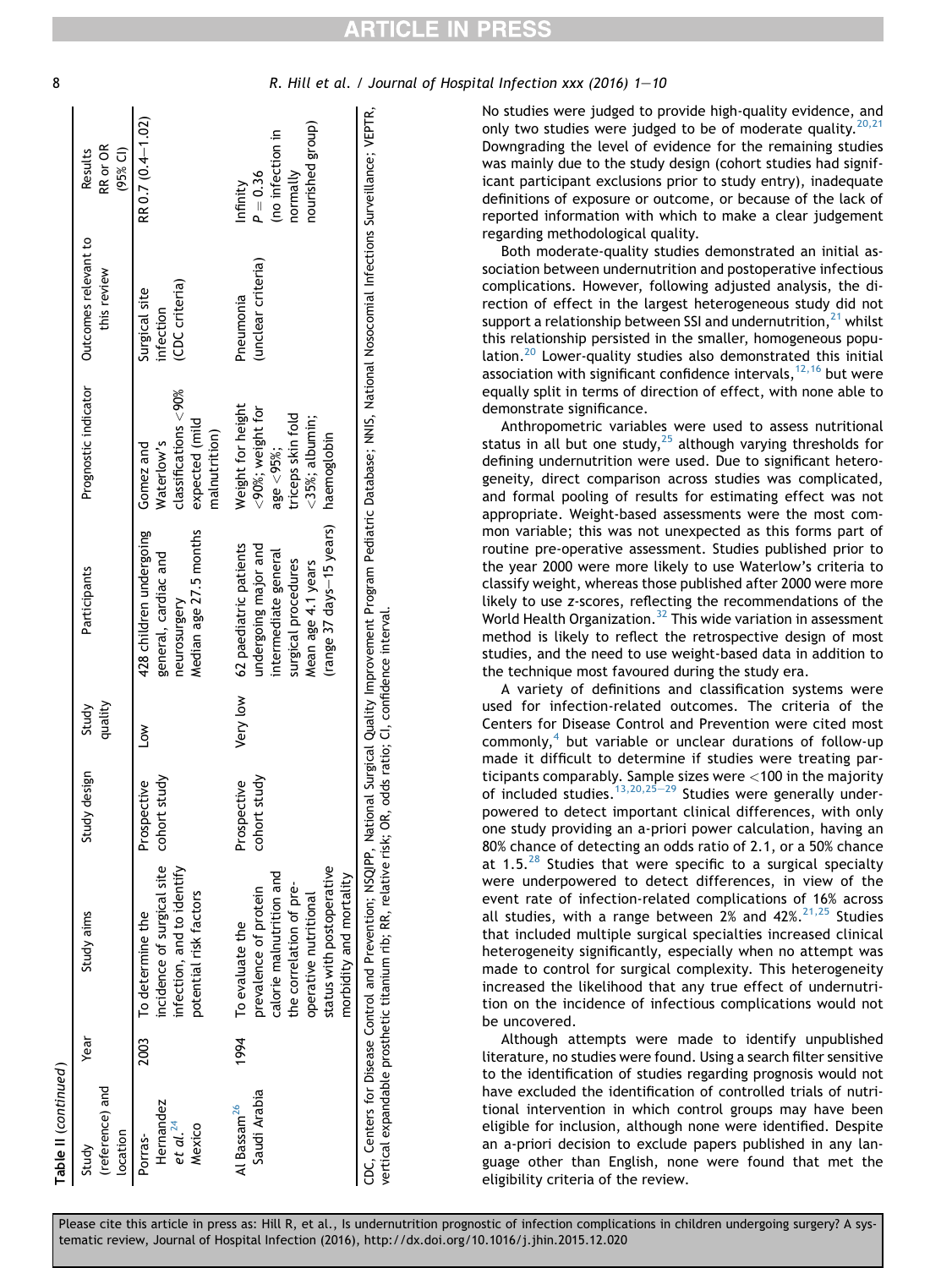| Table II (continued)                                   |      |                                                                                                                                                                                                                                                             |                                |                  |                                                                                                                                                 |                                                                                                                |                                             |                                                                            |
|--------------------------------------------------------|------|-------------------------------------------------------------------------------------------------------------------------------------------------------------------------------------------------------------------------------------------------------------|--------------------------------|------------------|-------------------------------------------------------------------------------------------------------------------------------------------------|----------------------------------------------------------------------------------------------------------------|---------------------------------------------|----------------------------------------------------------------------------|
| (reference) and<br>location<br>Study                   | Year | Study aims                                                                                                                                                                                                                                                  | design<br>Study                | quality<br>Study | Participants                                                                                                                                    | Prognostic indicator                                                                                           | Outcomes relevant to<br>this review         | RR or OR<br>$(95%$ CI)<br>Results                                          |
| Hernandez<br>et al. <sup>24</sup><br>Mexico<br>Porras- |      | incidence of surgical site<br>infection, and to identify<br>potential risk factors<br>2003 To determine the                                                                                                                                                 | study<br>Prospective<br>cohort | $\mathsf{S}$     | 428 children undergoing<br>Median age 27.5 months<br>general, cardiac and<br>neurosurgery                                                       | classifications < 90%<br>expected (mild<br>malnutrition)<br>Waterlow's<br>Gomez and                            | (CDC criteria)<br>Surgical site<br>nfection | RR 0.7 (0.4-1.02)                                                          |
| Saudi Arabia<br>Al Bassam <sup>26</sup>                | 1994 | status with postoperative<br>calorie malnutrition and<br>morbidity and mortality<br>the correlation of pre-<br>prevalence of protein<br>operative nutritional<br>To evaluate the                                                                            | study<br>Prospective<br>cohort | Very low         | (range 37 days-15 years)<br>62 paediatric patients<br>undergoing major and<br>intermediate general<br>surgical procedures<br>Mean age 4.1 years | Weight for height<br><90%; weight for<br>triceps skin fold<br>$<$ 35%; albumin;<br>haemoglobin<br>age $<$ 95%; | (unclear criteria)<br>Pneumonia             | nourished group)<br>(no infection in<br>normally<br>$P = 0.36$<br>Infinity |
|                                                        |      | CDC, Centers for Disease Control and Prevention; NSQIPP, National Surgical Quality Improvement Program Pediatric Database; NNIS, National Nosocomial Infections Surveillance; VEPTR,<br>vertical expandable prosthetic titanium rib; RR, relative risk; OR, |                                |                  | odds ratio; CI, confidence interval.                                                                                                            |                                                                                                                |                                             |                                                                            |

8 R. Hill et al. / Journal of Hospital Infection xxx (2016) 1–10

No studies were judged to provide high-quality evidence, and only two studies were judged to be of moderate quality.  $20,21$ Downgrading the level of evidence for the remaining studies was mainly due to the study design (cohort studies had significant participant exclusions prior to study entry), inadequate definitions of exposure or outcome, or because of the lack of reported information with which to make a clear judgement regarding methodological quality.

Both moderate-quality studies demonstrated an initial association between undernutrition and postoperative infectious complications. However, following adjusted analysis, the direction of effect in the largest heterogeneous study did not support a relationship between SSI and undernutrition, $^{21}$  $^{21}$  $^{21}$  whilst this relationship persisted in the smaller, homogeneous population.<sup>20</sup> Lower-quality studies also demonstrated this initial association with significant confidence intervals,  $12,16$  but were equally split in terms of direction of effect, with none able to demonstrate significance.

Anthropometric variables were used to assess nutritional status in all but one study, $25$  although varying thresholds for defining undernutrition were used. Due to significant heterogeneity, direct comparison across studies was complicated, and formal pooling of results for estimating effect was not appropriate. Weight-based assessments were the most common variable; this was not unexpected as this forms part of routine pre-operative assessment. Studies published prior to the year 2000 were more likely to use Waterlow's criteria to classify weight, whereas those published after 2000 were more likely to use z-scores, reflecting the recommendations of the World Health Organization.<sup>[32](#page-10-0)</sup> This wide variation in assessment method is likely to reflect the retrospective design of most studies, and the need to use weight-based data in addition to the technique most favoured during the study era.

A variety of definitions and classification systems were used for infection-related outcomes. The criteria of the Centers for Disease Control and Prevention were cited most commonly, $4$  but variable or unclear durations of follow-up made it difficult to determine if studies were treating participants comparably. Sample sizes were <100 in the majority of included studies.  $13,20,25-29$  $13,20,25-29$  $13,20,25-29$  Studies were generally underpowered to detect important clinical differences, with only one study providing an a-priori power calculation, having an 80% chance of detecting an odds ratio of 2.1, or a 50% chance at 1.5. $^{28}$  $^{28}$  $^{28}$  Studies that were specific to a surgical specialty were underpowered to detect differences, in view of the event rate of infection-related complications of 16% across all studies, with a range between  $2\%$  and  $42\%.^{21,25}$  $42\%.^{21,25}$  $42\%.^{21,25}$  Studies that included multiple surgical specialties increased clinical heterogeneity significantly, especially when no attempt was made to control for surgical complexity. This heterogeneity increased the likelihood that any true effect of undernutrition on the incidence of infectious complications would not be uncovered.

Although attempts were made to identify unpublished literature, no studies were found. Using a search filter sensitive to the identification of studies regarding prognosis would not have excluded the identification of controlled trials of nutritional intervention in which control groups may have been eligible for inclusion, although none were identified. Despite an a-priori decision to exclude papers published in any language other than English, none were found that met the eligibility criteria of the review.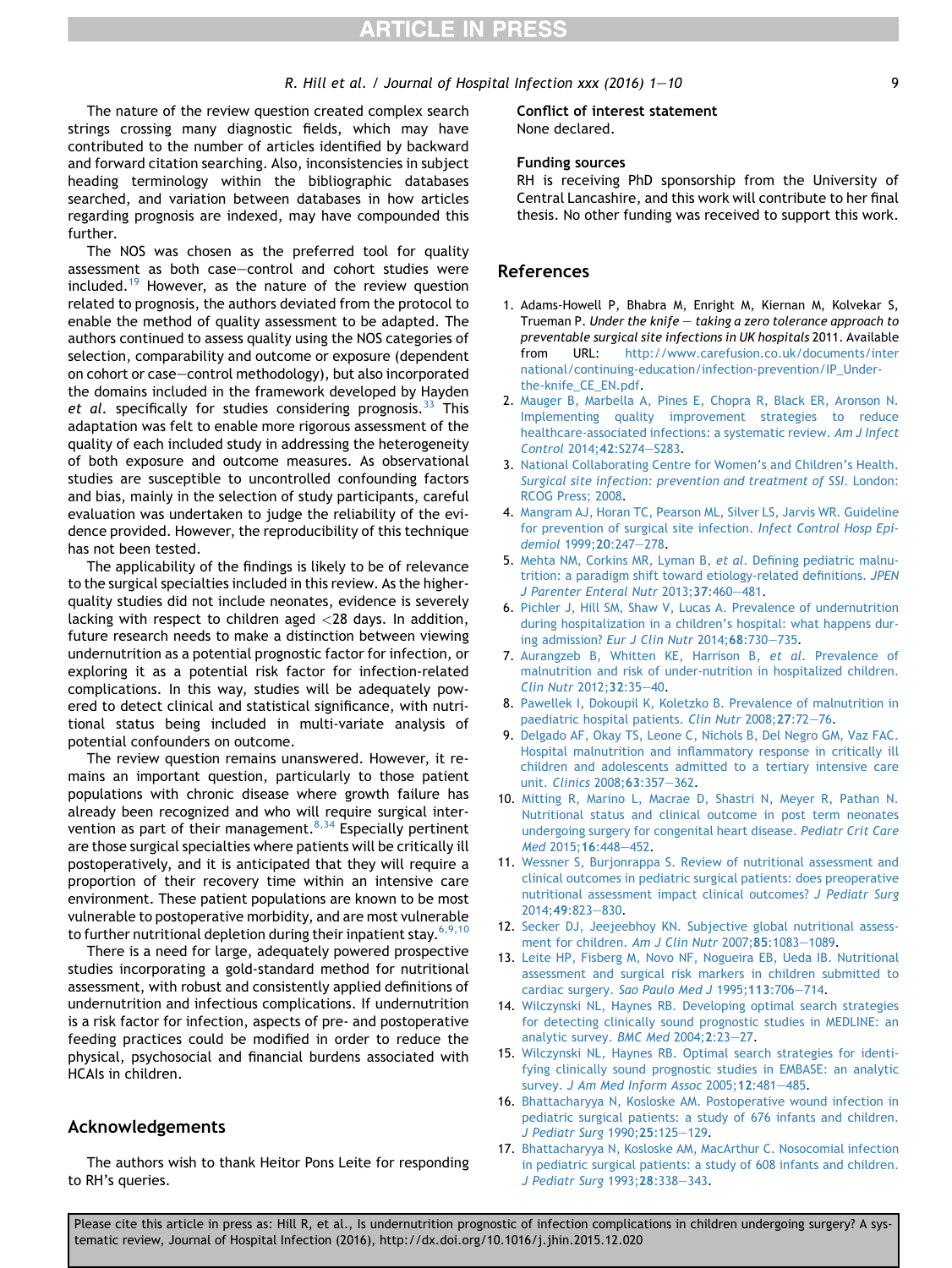#### R. Hill et al. / Journal of Hospital Infection  $xxx$  (2016)  $1-10$  9

<span id="page-9-0"></span>The nature of the review question created complex search strings crossing many diagnostic fields, which may have contributed to the number of articles identified by backward and forward citation searching. Also, inconsistencies in subject heading terminology within the bibliographic databases searched, and variation between databases in how articles regarding prognosis are indexed, may have compounded this further.

The NOS was chosen as the preferred tool for quality assessment as both case-control and cohort studies were included.<sup>[19](#page-10-0)</sup> However, as the nature of the review question related to prognosis, the authors deviated from the protocol to enable the method of quality assessment to be adapted. The authors continued to assess quality using the NOS categories of selection, comparability and outcome or exposure (dependent on cohort or case-control methodology), but also incorporated the domains included in the framework developed by Hayden et al. specifically for studies considering prognosis.  $33$  This adaptation was felt to enable more rigorous assessment of the quality of each included study in addressing the heterogeneity of both exposure and outcome measures. As observational studies are susceptible to uncontrolled confounding factors and bias, mainly in the selection of study participants, careful evaluation was undertaken to judge the reliability of the evidence provided. However, the reproducibility of this technique has not been tested.

The applicability of the findings is likely to be of relevance to the surgical specialties included in this review. As the higherquality studies did not include neonates, evidence is severely lacking with respect to children aged <28 days. In addition, future research needs to make a distinction between viewing undernutrition as a potential prognostic factor for infection, or exploring it as a potential risk factor for infection-related complications. In this way, studies will be adequately powered to detect clinical and statistical significance, with nutritional status being included in multi-variate analysis of potential confounders on outcome.

The review question remains unanswered. However, it remains an important question, particularly to those patient populations with chronic disease where growth failure has already been recognized and who will require surgical intervention as part of their management.<sup>8,34</sup> Especially pertinent are those surgical specialties where patients will be critically ill postoperatively, and it is anticipated that they will require a proportion of their recovery time within an intensive care environment. These patient populations are known to be most vulnerable to postoperative morbidity, and are most vulnerable to further nutritional depletion during their inpatient stay.  $6,9,10$ 

There is a need for large, adequately powered prospective studies incorporating a gold-standard method for nutritional assessment, with robust and consistently applied definitions of undernutrition and infectious complications. If undernutrition is a risk factor for infection, aspects of pre- and postoperative feeding practices could be modified in order to reduce the physical, psychosocial and financial burdens associated with HCAIs in children.

#### Acknowledgements

The authors wish to thank Heitor Pons Leite for responding to RH's queries.

#### Conflict of interest statement None declared.

#### Funding sources

RH is receiving PhD sponsorship from the University of Central Lancashire, and this work will contribute to her final thesis. No other funding was received to support this work.

#### References

- 1. Adams-Howell P, Bhabra M, Enright M, Kiernan M, Kolvekar S, Trueman P. Under the knife  $-$  taking a zero tolerance approach to preventable surgical site infections in UK hospitals 2011. Available from URL: [http://www.carefusion.co.uk/documents/inter](http://www.carefusion.co.uk/documents/international/continuing-education/infection-prevention/IP_Under-the-knife_CE_EN.pdf) [national/continuing-education/infection-prevention/IP\\_Under](http://www.carefusion.co.uk/documents/international/continuing-education/infection-prevention/IP_Under-the-knife_CE_EN.pdf)[the-knife\\_CE\\_EN.pdf](http://www.carefusion.co.uk/documents/international/continuing-education/infection-prevention/IP_Under-the-knife_CE_EN.pdf).
- 2. [Mauger B, Marbella A, Pines E, Chopra R, Black ER, Aronson N.](http://refhub.elsevier.com/S0195-6701(16)00053-0/sref2) [Implementing quality improvement strategies to reduce](http://refhub.elsevier.com/S0195-6701(16)00053-0/sref2) [healthcare-associated infections: a systematic review.](http://refhub.elsevier.com/S0195-6701(16)00053-0/sref2) Am J Infect [Control](http://refhub.elsevier.com/S0195-6701(16)00053-0/sref2) 2014:42:S274-[S283.](http://refhub.elsevier.com/S0195-6701(16)00053-0/sref2)
- 3. [National Collaborating Centre for Women's and Children's Health.](http://refhub.elsevier.com/S0195-6701(16)00053-0/sref3) [Surgical site infection: prevention and treatment of SSI](http://refhub.elsevier.com/S0195-6701(16)00053-0/sref3). London: [RCOG Press; 2008](http://refhub.elsevier.com/S0195-6701(16)00053-0/sref3).
- 4. [Mangram AJ, Horan TC, Pearson ML, Silver LS, Jarvis WR. Guideline](http://refhub.elsevier.com/S0195-6701(16)00053-0/sref4) [for prevention of surgical site infection.](http://refhub.elsevier.com/S0195-6701(16)00053-0/sref4) Infect Control Hosp Epi[demiol](http://refhub.elsevier.com/S0195-6701(16)00053-0/sref4) 1999;20:247-[278.](http://refhub.elsevier.com/S0195-6701(16)00053-0/sref4)
- 5. [Mehta NM, Corkins MR, Lyman B,](http://refhub.elsevier.com/S0195-6701(16)00053-0/sref5) et al. Defining pediatric malnu[trition: a paradigm shift toward etiology-related definitions.](http://refhub.elsevier.com/S0195-6701(16)00053-0/sref5) JPEN [J Parenter Enteral Nutr](http://refhub.elsevier.com/S0195-6701(16)00053-0/sref5) 2013;37:460-[481.](http://refhub.elsevier.com/S0195-6701(16)00053-0/sref5)
- 6. [Pichler J, Hill SM, Shaw V, Lucas A. Prevalence of undernutrition](http://refhub.elsevier.com/S0195-6701(16)00053-0/sref6) [during hospitalization in a children's hospital: what happens dur-](http://refhub.elsevier.com/S0195-6701(16)00053-0/sref6)ing admission? [Eur J Clin Nutr](http://refhub.elsevier.com/S0195-6701(16)00053-0/sref6) 2014;68:730-[735](http://refhub.elsevier.com/S0195-6701(16)00053-0/sref6).
- 7. [Aurangzeb B, Whitten KE, Harrison B,](http://refhub.elsevier.com/S0195-6701(16)00053-0/sref7) et al. Prevalence of [malnutrition and risk of under-nutrition in hospitalized children.](http://refhub.elsevier.com/S0195-6701(16)00053-0/sref7) [Clin Nutr](http://refhub.elsevier.com/S0195-6701(16)00053-0/sref7) 2012;32:35-[40.](http://refhub.elsevier.com/S0195-6701(16)00053-0/sref7)
- 8. [Pawellek I, Dokoupil K, Koletzko B. Prevalence of malnutrition in](http://refhub.elsevier.com/S0195-6701(16)00053-0/sref8) [paediatric hospital patients.](http://refhub.elsevier.com/S0195-6701(16)00053-0/sref8) Clin Nutr 2008;27:72-[76.](http://refhub.elsevier.com/S0195-6701(16)00053-0/sref8)
- 9. [Delgado AF, Okay TS, Leone C, Nichols B, Del Negro GM, Vaz FAC.](http://refhub.elsevier.com/S0195-6701(16)00053-0/sref9) [Hospital malnutrition and inflammatory response in critically ill](http://refhub.elsevier.com/S0195-6701(16)00053-0/sref9) [children and adolescents admitted to a tertiary intensive care](http://refhub.elsevier.com/S0195-6701(16)00053-0/sref9) unit. [Clinics](http://refhub.elsevier.com/S0195-6701(16)00053-0/sref9) 2008;63:357-[362](http://refhub.elsevier.com/S0195-6701(16)00053-0/sref9).
- 10. [Mitting R, Marino L, Macrae D, Shastri N, Meyer R, Pathan N.](http://refhub.elsevier.com/S0195-6701(16)00053-0/sref10) [Nutritional status and clinical outcome in post term neonates](http://refhub.elsevier.com/S0195-6701(16)00053-0/sref10) [undergoing surgery for congenital heart disease.](http://refhub.elsevier.com/S0195-6701(16)00053-0/sref10) Pediatr Crit Care Med [2015;](http://refhub.elsevier.com/S0195-6701(16)00053-0/sref10)16:448-[452.](http://refhub.elsevier.com/S0195-6701(16)00053-0/sref10)
- 11. [Wessner S, Burjonrappa S. Review of nutritional assessment and](http://refhub.elsevier.com/S0195-6701(16)00053-0/sref11) [clinical outcomes in pediatric surgical patients: does preoperative](http://refhub.elsevier.com/S0195-6701(16)00053-0/sref11) [nutritional assessment impact clinical outcomes?](http://refhub.elsevier.com/S0195-6701(16)00053-0/sref11) J Pediatr Surg [2014;](http://refhub.elsevier.com/S0195-6701(16)00053-0/sref11)49:823-[830](http://refhub.elsevier.com/S0195-6701(16)00053-0/sref11).
- 12. [Secker DJ, Jeejeebhoy KN. Subjective global nutritional assess](http://refhub.elsevier.com/S0195-6701(16)00053-0/sref12)[ment for children.](http://refhub.elsevier.com/S0195-6701(16)00053-0/sref12) Am J Clin Nutr  $2007;85:1083-1089$ .
- 13. [Leite HP, Fisberg M, Novo NF, Nogueira EB, Ueda IB. Nutritional](http://refhub.elsevier.com/S0195-6701(16)00053-0/sref13) [assessment and surgical risk markers in children submitted to](http://refhub.elsevier.com/S0195-6701(16)00053-0/sref13) cardiac surgery. [Sao Paulo Med J](http://refhub.elsevier.com/S0195-6701(16)00053-0/sref13) 1995;113:706-[714.](http://refhub.elsevier.com/S0195-6701(16)00053-0/sref13)
- 14. [Wilczynski NL, Haynes RB. Developing optimal search strategies](http://refhub.elsevier.com/S0195-6701(16)00053-0/sref14) [for detecting clinically sound prognostic studies in MEDLINE: an](http://refhub.elsevier.com/S0195-6701(16)00053-0/sref14) [analytic survey.](http://refhub.elsevier.com/S0195-6701(16)00053-0/sref14) BMC Med  $2004;2:23-27$  $2004;2:23-27$ .
- 15. [Wilczynski NL, Haynes RB. Optimal search strategies for identi](http://refhub.elsevier.com/S0195-6701(16)00053-0/sref15)[fying clinically sound prognostic studies in EMBASE: an analytic](http://refhub.elsevier.com/S0195-6701(16)00053-0/sref15) survey. [J Am Med Inform Assoc](http://refhub.elsevier.com/S0195-6701(16)00053-0/sref15) 2005;12:481-[485](http://refhub.elsevier.com/S0195-6701(16)00053-0/sref15).
- 16. [Bhattacharyya N, Kosloske AM. Postoperative wound infection in](http://refhub.elsevier.com/S0195-6701(16)00053-0/sref16) [pediatric surgical patients: a study of 676 infants and children.](http://refhub.elsevier.com/S0195-6701(16)00053-0/sref16) [J Pediatr Surg](http://refhub.elsevier.com/S0195-6701(16)00053-0/sref16) 1990; 25:125-[129.](http://refhub.elsevier.com/S0195-6701(16)00053-0/sref16)
- 17. [Bhattacharyya N, Kosloske AM, MacArthur C. Nosocomial infection](http://refhub.elsevier.com/S0195-6701(16)00053-0/sref17) [in pediatric surgical patients: a study of 608 infants and children.](http://refhub.elsevier.com/S0195-6701(16)00053-0/sref17) [J Pediatr Surg](http://refhub.elsevier.com/S0195-6701(16)00053-0/sref17) 1993;28:338-[343.](http://refhub.elsevier.com/S0195-6701(16)00053-0/sref17)